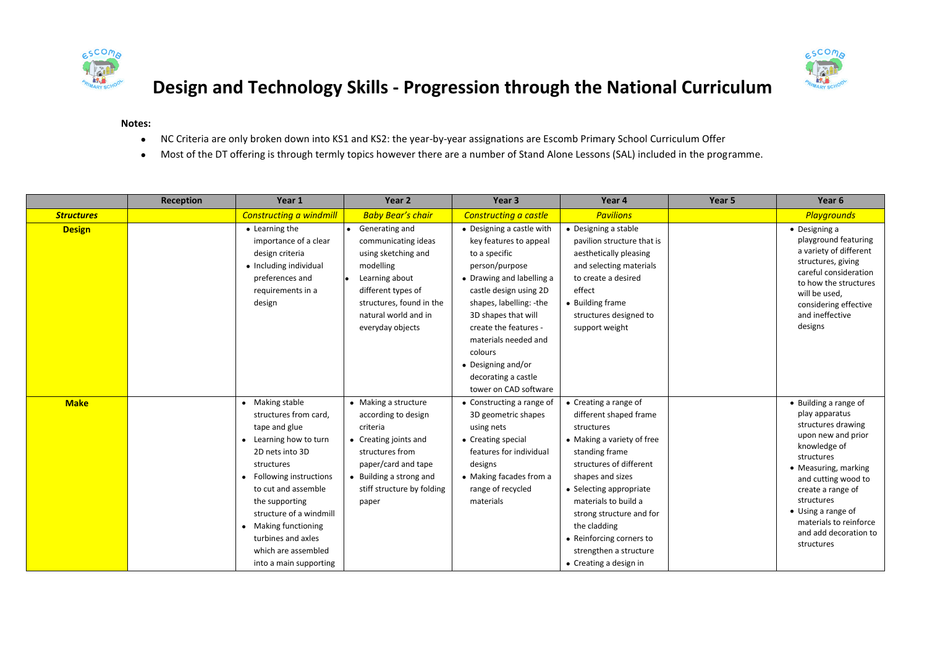



## **Design and Technology Skills - Progression through the National Curriculum**

## **Notes:**

- NC Criteria are only broken down into KS1 and KS2: the year-by-year assignations are Escomb Primary School Curriculum Offer
- Most of the DT offering is through termly topics however there are a number of Stand Alone Lessons (SAL) included in the programme.

|                   | <b>Reception</b> | Year 1                                                                                                                                                                                                                                                                                                              | Year 2                                                                                                                                                                                       | Year <sub>3</sub>                                                                                                                                                                                                                                                                                                                 | Year 4                                                                                                                                                                                                                                                                                                                                      | Year 5 | Year 6                                                                                                                                                                                                                                                                                     |
|-------------------|------------------|---------------------------------------------------------------------------------------------------------------------------------------------------------------------------------------------------------------------------------------------------------------------------------------------------------------------|----------------------------------------------------------------------------------------------------------------------------------------------------------------------------------------------|-----------------------------------------------------------------------------------------------------------------------------------------------------------------------------------------------------------------------------------------------------------------------------------------------------------------------------------|---------------------------------------------------------------------------------------------------------------------------------------------------------------------------------------------------------------------------------------------------------------------------------------------------------------------------------------------|--------|--------------------------------------------------------------------------------------------------------------------------------------------------------------------------------------------------------------------------------------------------------------------------------------------|
| <b>Structures</b> |                  | <b>Constructing a windmill</b>                                                                                                                                                                                                                                                                                      | <b>Baby Bear's chair</b>                                                                                                                                                                     | Constructing a castle                                                                                                                                                                                                                                                                                                             | <b>Pavilions</b>                                                                                                                                                                                                                                                                                                                            |        | <b>Playgrounds</b>                                                                                                                                                                                                                                                                         |
| <b>Design</b>     |                  | • Learning the<br>importance of a clear<br>design criteria<br>• Including individual<br>preferences and<br>requirements in a<br>design                                                                                                                                                                              | • Generating and<br>communicating ideas<br>using sketching and<br>modelling<br>Learning about<br>different types of<br>structures, found in the<br>natural world and in<br>everyday objects  | • Designing a castle with<br>key features to appeal<br>to a specific<br>person/purpose<br>• Drawing and labelling a<br>castle design using 2D<br>shapes, labelling: -the<br>3D shapes that will<br>create the features -<br>materials needed and<br>colours<br>• Designing and/or<br>decorating a castle<br>tower on CAD software | • Designing a stable<br>pavilion structure that is<br>aesthetically pleasing<br>and selecting materials<br>to create a desired<br>effect<br>• Building frame<br>structures designed to<br>support weight                                                                                                                                    |        | $\bullet$ Designing a<br>playground featuring<br>a variety of different<br>structures, giving<br>careful consideration<br>to how the structures<br>will be used,<br>considering effective<br>and ineffective<br>designs                                                                    |
| <b>Make</b>       |                  | • Making stable<br>structures from card,<br>tape and glue<br>• Learning how to turn<br>2D nets into 3D<br>structures<br>• Following instructions<br>to cut and assemble<br>the supporting<br>structure of a windmill<br>• Making functioning<br>turbines and axles<br>which are assembled<br>into a main supporting | • Making a structure<br>according to design<br>criteria<br>• Creating joints and<br>structures from<br>paper/card and tape<br>• Building a strong and<br>stiff structure by folding<br>paper | • Constructing a range of<br>3D geometric shapes<br>using nets<br>• Creating special<br>features for individual<br>designs<br>• Making facades from a<br>range of recycled<br>materials                                                                                                                                           | • Creating a range of<br>different shaped frame<br>structures<br>• Making a variety of free<br>standing frame<br>structures of different<br>shapes and sizes<br>• Selecting appropriate<br>materials to build a<br>strong structure and for<br>the cladding<br>• Reinforcing corners to<br>strengthen a structure<br>• Creating a design in |        | • Building a range of<br>play apparatus<br>structures drawing<br>upon new and prior<br>knowledge of<br>structures<br>• Measuring, marking<br>and cutting wood to<br>create a range of<br>structures<br>• Using a range of<br>materials to reinforce<br>and add decoration to<br>structures |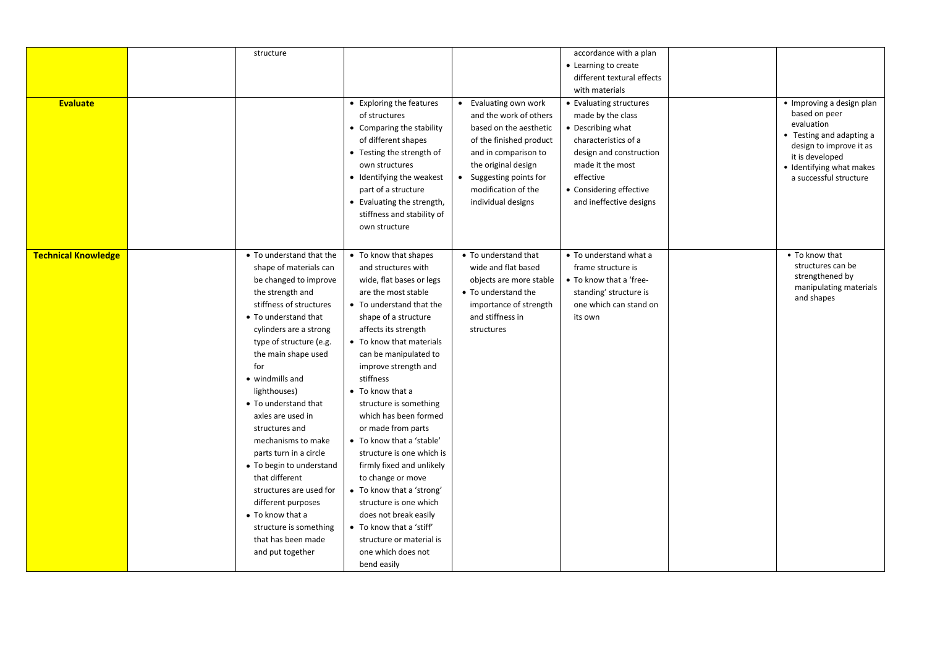|                            | structure                |                            |                         | accordance with a plan     |                                        |
|----------------------------|--------------------------|----------------------------|-------------------------|----------------------------|----------------------------------------|
|                            |                          |                            |                         | • Learning to create       |                                        |
|                            |                          |                            |                         | different textural effects |                                        |
|                            |                          |                            |                         | with materials             |                                        |
| <b>Evaluate</b>            |                          | • Exploring the features   | • Evaluating own work   | • Evaluating structures    | • Improving a design plan              |
|                            |                          | of structures              | and the work of others  | made by the class          | based on peer                          |
|                            |                          | • Comparing the stability  | based on the aesthetic  | • Describing what          | evaluation<br>• Testing and adapting a |
|                            |                          | of different shapes        | of the finished product | characteristics of a       | design to improve it as                |
|                            |                          | • Testing the strength of  | and in comparison to    | design and construction    | it is developed                        |
|                            |                          | own structures             | the original design     | made it the most           | · Identifying what makes               |
|                            |                          | • Identifying the weakest  | • Suggesting points for | effective                  | a successful structure                 |
|                            |                          | part of a structure        | modification of the     | • Considering effective    |                                        |
|                            |                          | • Evaluating the strength, | individual designs      | and ineffective designs    |                                        |
|                            |                          | stiffness and stability of |                         |                            |                                        |
|                            |                          | own structure              |                         |                            |                                        |
|                            |                          |                            |                         |                            |                                        |
| <b>Technical Knowledge</b> | • To understand that the | • To know that shapes      | • To understand that    | • To understand what a     | • To know that                         |
|                            | shape of materials can   | and structures with        | wide and flat based     | frame structure is         | structures can be                      |
|                            | be changed to improve    | wide, flat bases or legs   | objects are more stable | • To know that a 'free-    | strengthened by                        |
|                            | the strength and         | are the most stable        | • To understand the     | standing' structure is     | manipulating materials                 |
|                            | stiffness of structures  | • To understand that the   | importance of strength  | one which can stand on     | and shapes                             |
|                            | • To understand that     | shape of a structure       | and stiffness in        | its own                    |                                        |
|                            | cylinders are a strong   | affects its strength       | structures              |                            |                                        |
|                            | type of structure (e.g.  | • To know that materials   |                         |                            |                                        |
|                            | the main shape used      | can be manipulated to      |                         |                            |                                        |
|                            | for                      | improve strength and       |                         |                            |                                        |
|                            | • windmills and          | stiffness                  |                         |                            |                                        |
|                            | lighthouses)             | • To know that a           |                         |                            |                                        |
|                            | • To understand that     | structure is something     |                         |                            |                                        |
|                            | axles are used in        | which has been formed      |                         |                            |                                        |
|                            |                          |                            |                         |                            |                                        |
|                            | structures and           | or made from parts         |                         |                            |                                        |
|                            | mechanisms to make       | • To know that a 'stable'  |                         |                            |                                        |
|                            | parts turn in a circle   | structure is one which is  |                         |                            |                                        |
|                            | • To begin to understand | firmly fixed and unlikely  |                         |                            |                                        |
|                            | that different           | to change or move          |                         |                            |                                        |
|                            | structures are used for  | • To know that a 'strong'  |                         |                            |                                        |
|                            | different purposes       | structure is one which     |                         |                            |                                        |
|                            | • To know that a         | does not break easily      |                         |                            |                                        |
|                            | structure is something   | • To know that a 'stiff'   |                         |                            |                                        |
|                            | that has been made       | structure or material is   |                         |                            |                                        |
|                            | and put together         | one which does not         |                         |                            |                                        |
|                            |                          | bend easily                |                         |                            |                                        |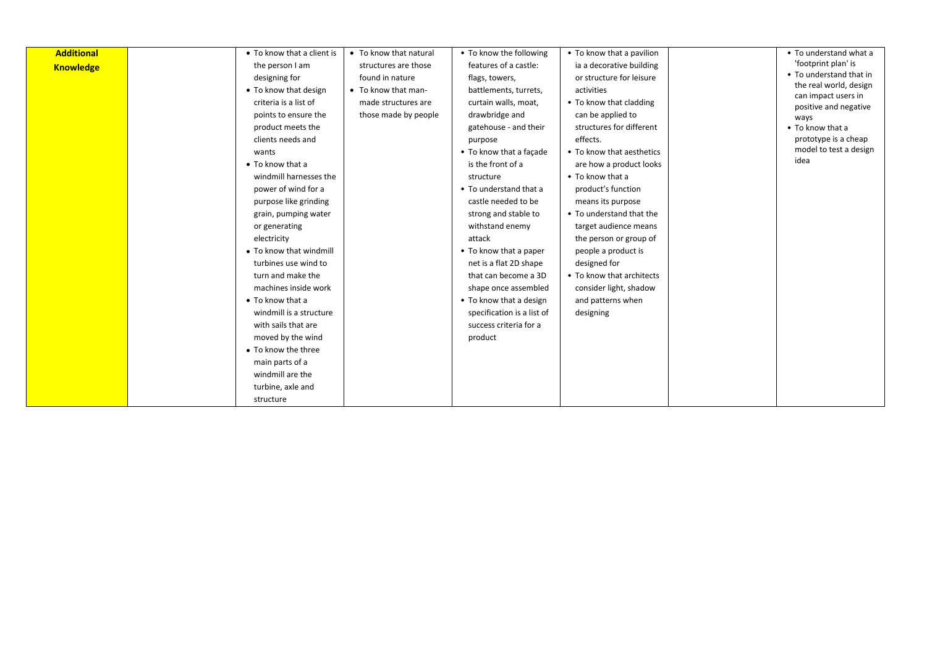| <b>Additional</b> | • To know that a client is | • To know that natural | • To know the following    | • To know that a pavilion | • To understand what a                        |
|-------------------|----------------------------|------------------------|----------------------------|---------------------------|-----------------------------------------------|
| <b>Knowledge</b>  | the person I am            | structures are those   | features of a castle:      | ia a decorative building  | 'footprint plan' is                           |
|                   | designing for              | found in nature        | flags, towers,             | or structure for leisure  | • To understand that in                       |
|                   | • To know that design      | • To know that man-    | battlements, turrets,      | activities                | the real world, design<br>can impact users in |
|                   | criteria is a list of      | made structures are    | curtain walls, moat,       | • To know that cladding   | positive and negative                         |
|                   | points to ensure the       | those made by people   | drawbridge and             | can be applied to         | ways                                          |
|                   | product meets the          |                        | gatehouse - and their      | structures for different  | • To know that a                              |
|                   | clients needs and          |                        | purpose                    | effects.                  | prototype is a cheap                          |
|                   | wants                      |                        | • To know that a facade    | • To know that aesthetics | model to test a design                        |
|                   | $\bullet$ To know that a   |                        | is the front of a          | are how a product looks   | idea                                          |
|                   | windmill harnesses the     |                        | structure                  | • To know that a          |                                               |
|                   | power of wind for a        |                        | • To understand that a     | product's function        |                                               |
|                   | purpose like grinding      |                        | castle needed to be        | means its purpose         |                                               |
|                   | grain, pumping water       |                        | strong and stable to       | • To understand that the  |                                               |
|                   | or generating              |                        | withstand enemy            | target audience means     |                                               |
|                   | electricity                |                        | attack                     | the person or group of    |                                               |
|                   | • To know that windmill    |                        | • To know that a paper     | people a product is       |                                               |
|                   | turbines use wind to       |                        | net is a flat 2D shape     | designed for              |                                               |
|                   | turn and make the          |                        | that can become a 3D       | • To know that architects |                                               |
|                   | machines inside work       |                        | shape once assembled       | consider light, shadow    |                                               |
|                   | • To know that a           |                        | • To know that a design    | and patterns when         |                                               |
|                   | windmill is a structure    |                        | specification is a list of | designing                 |                                               |
|                   | with sails that are        |                        | success criteria for a     |                           |                                               |
|                   | moved by the wind          |                        | product                    |                           |                                               |
|                   | • To know the three        |                        |                            |                           |                                               |
|                   | main parts of a            |                        |                            |                           |                                               |
|                   | windmill are the           |                        |                            |                           |                                               |
|                   | turbine, axle and          |                        |                            |                           |                                               |
|                   | structure                  |                        |                            |                           |                                               |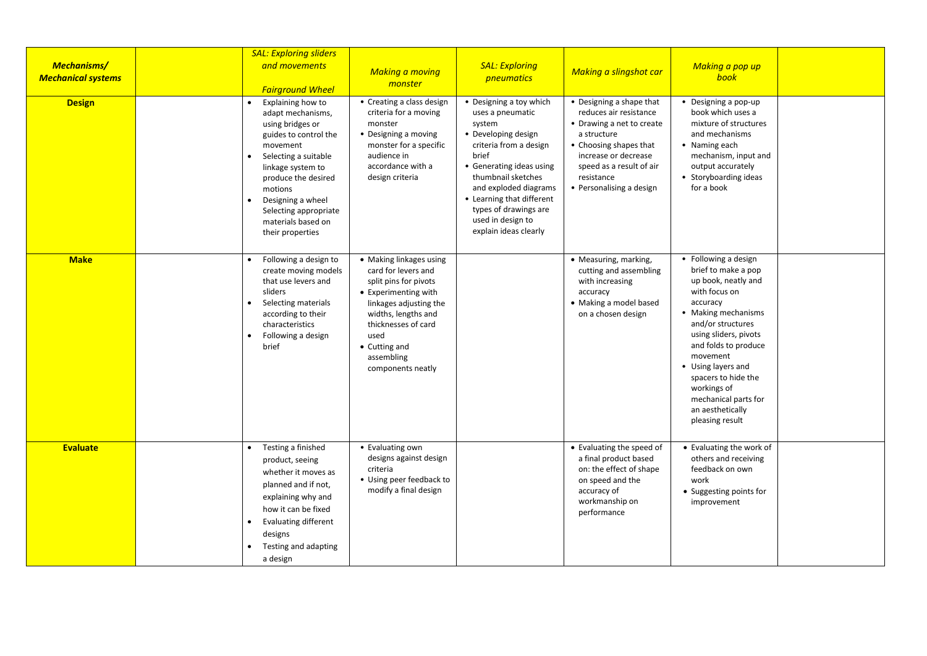| <b>Mechanisms/</b><br><b>Mechanical systems</b> |                        | <b>SAL: Exploring sliders</b><br>and movements<br><b>Fairground Wheel</b>                                                                                                                                                                                              | <b>Making a moving</b><br>monster                                                                                                                                                                                                   | <b>SAL: Exploring</b><br>pneumatics                                                                                                                                                                                                                                                            | <b>Making a slingshot car</b>                                                                                                                                                                                          | Making a pop up<br>book                                                                                                                                                                                                                                                                                                             |  |
|-------------------------------------------------|------------------------|------------------------------------------------------------------------------------------------------------------------------------------------------------------------------------------------------------------------------------------------------------------------|-------------------------------------------------------------------------------------------------------------------------------------------------------------------------------------------------------------------------------------|------------------------------------------------------------------------------------------------------------------------------------------------------------------------------------------------------------------------------------------------------------------------------------------------|------------------------------------------------------------------------------------------------------------------------------------------------------------------------------------------------------------------------|-------------------------------------------------------------------------------------------------------------------------------------------------------------------------------------------------------------------------------------------------------------------------------------------------------------------------------------|--|
| <b>Design</b>                                   |                        | Explaining how to<br>adapt mechanisms,<br>using bridges or<br>guides to control the<br>movement<br>Selecting a suitable<br>linkage system to<br>produce the desired<br>motions<br>Designing a wheel<br>Selecting appropriate<br>materials based on<br>their properties | • Creating a class design<br>criteria for a moving<br>monster<br>• Designing a moving<br>monster for a specific<br>audience in<br>accordance with a<br>design criteria                                                              | • Designing a toy which<br>uses a pneumatic<br>system<br>• Developing design<br>criteria from a design<br>brief<br>• Generating ideas using<br>thumbnail sketches<br>and exploded diagrams<br>• Learning that different<br>types of drawings are<br>used in design to<br>explain ideas clearly | • Designing a shape that<br>reduces air resistance<br>• Drawing a net to create<br>a structure<br>• Choosing shapes that<br>increase or decrease<br>speed as a result of air<br>resistance<br>• Personalising a design | • Designing a pop-up<br>book which uses a<br>mixture of structures<br>and mechanisms<br>• Naming each<br>mechanism, input and<br>output accurately<br>• Storyboarding ideas<br>for a book                                                                                                                                           |  |
| <b>Make</b>                                     | $\bullet$              | Following a design to<br>create moving models<br>that use levers and<br>sliders<br>Selecting materials<br>according to their<br>characteristics<br>Following a design<br>brief                                                                                         | • Making linkages using<br>card for levers and<br>split pins for pivots<br>• Experimenting with<br>linkages adjusting the<br>widths, lengths and<br>thicknesses of card<br>used<br>• Cutting and<br>assembling<br>components neatly |                                                                                                                                                                                                                                                                                                | • Measuring, marking,<br>cutting and assembling<br>with increasing<br>accuracy<br>• Making a model based<br>on a chosen design                                                                                         | • Following a design<br>brief to make a pop<br>up book, neatly and<br>with focus on<br>accuracy<br>• Making mechanisms<br>and/or structures<br>using sliders, pivots<br>and folds to produce<br>movement<br>• Using layers and<br>spacers to hide the<br>workings of<br>mechanical parts for<br>an aesthetically<br>pleasing result |  |
| <b>Evaluate</b>                                 | $\bullet$<br>$\bullet$ | Testing a finished<br>product, seeing<br>whether it moves as<br>planned and if not,<br>explaining why and<br>how it can be fixed<br><b>Evaluating different</b><br>designs<br>Testing and adapting<br>a design                                                         | • Evaluating own<br>designs against design<br>criteria<br>• Using peer feedback to<br>modify a final design                                                                                                                         |                                                                                                                                                                                                                                                                                                | • Evaluating the speed of<br>a final product based<br>on: the effect of shape<br>on speed and the<br>accuracy of<br>workmanship on<br>performance                                                                      | • Evaluating the work of<br>others and receiving<br>feedback on own<br>work<br>• Suggesting points for<br>improvement                                                                                                                                                                                                               |  |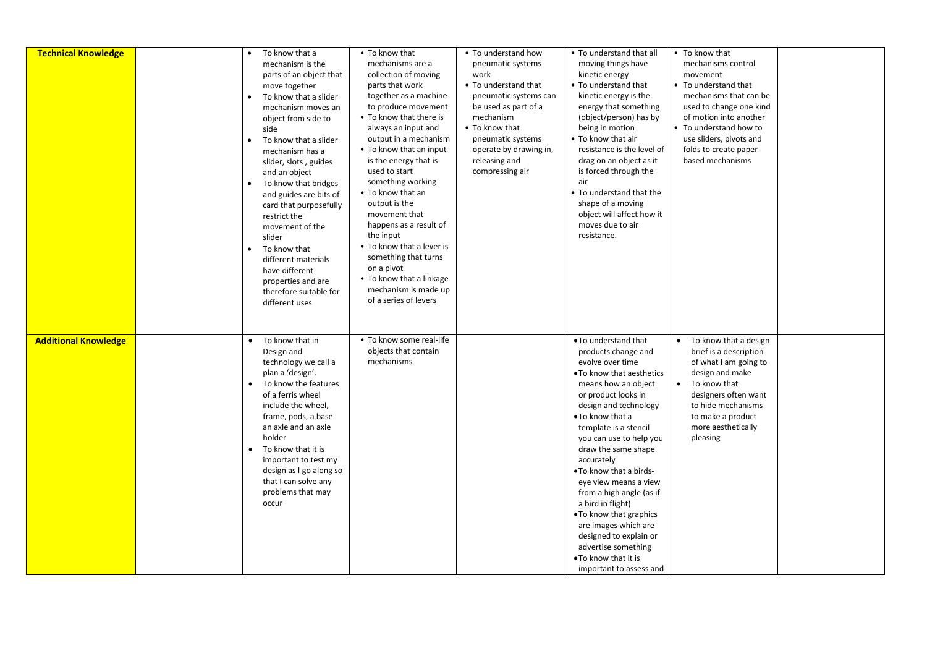| <b>Technical Knowledge</b>  | ٠<br>$\bullet$<br>$\bullet$ | To know that a<br>mechanism is the<br>parts of an object that<br>move together<br>To know that a slider<br>mechanism moves an<br>object from side to<br>side<br>To know that a slider<br>mechanism has a<br>slider, slots, guides<br>and an object<br>To know that bridges<br>and guides are bits of<br>card that purposefully<br>restrict the<br>movement of the<br>slider<br>To know that<br>different materials<br>have different<br>properties and are<br>therefore suitable for | • To know that<br>mechanisms are a<br>collection of moving<br>parts that work<br>together as a machine<br>to produce movement<br>• To know that there is<br>always an input and<br>output in a mechanism<br>• To know that an input<br>is the energy that is<br>used to start<br>something working<br>• To know that an<br>output is the<br>movement that<br>happens as a result of<br>the input<br>• To know that a lever is<br>something that turns<br>on a pivot<br>• To know that a linkage<br>mechanism is made up | • To understand how<br>pneumatic systems<br>work<br>• To understand that<br>pneumatic systems can<br>be used as part of a<br>mechanism<br>• To know that<br>pneumatic systems<br>operate by drawing in,<br>releasing and<br>compressing air | • To understand that all<br>moving things have<br>kinetic energy<br>• To understand that<br>kinetic energy is the<br>energy that something<br>(object/person) has by<br>being in motion<br>• To know that air<br>resistance is the level of<br>drag on an object as it<br>is forced through the<br>air<br>• To understand that the<br>shape of a moving<br>object will affect how it<br>moves due to air<br>resistance.                                                                                                                      |                        | To know that<br>mechanisms control<br>movement<br>To understand that<br>mechanisms that can be<br>used to change one kind<br>of motion into another<br>To understand how to<br>use sliders, pivots and<br>folds to create paper-<br>based mechanisms |  |
|-----------------------------|-----------------------------|--------------------------------------------------------------------------------------------------------------------------------------------------------------------------------------------------------------------------------------------------------------------------------------------------------------------------------------------------------------------------------------------------------------------------------------------------------------------------------------|-------------------------------------------------------------------------------------------------------------------------------------------------------------------------------------------------------------------------------------------------------------------------------------------------------------------------------------------------------------------------------------------------------------------------------------------------------------------------------------------------------------------------|---------------------------------------------------------------------------------------------------------------------------------------------------------------------------------------------------------------------------------------------|----------------------------------------------------------------------------------------------------------------------------------------------------------------------------------------------------------------------------------------------------------------------------------------------------------------------------------------------------------------------------------------------------------------------------------------------------------------------------------------------------------------------------------------------|------------------------|------------------------------------------------------------------------------------------------------------------------------------------------------------------------------------------------------------------------------------------------------|--|
| <b>Additional Knowledge</b> | $\bullet$<br>$\bullet$      | different uses<br>To know that in<br>Design and<br>technology we call a<br>plan a 'design'.<br>To know the features<br>of a ferris wheel<br>include the wheel,<br>frame, pods, a base<br>an axle and an axle<br>holder<br>To know that it is<br>important to test my<br>design as I go along so<br>that I can solve any<br>problems that may<br>occur                                                                                                                                | of a series of levers<br>• To know some real-life<br>objects that contain<br>mechanisms                                                                                                                                                                                                                                                                                                                                                                                                                                 |                                                                                                                                                                                                                                             | . To understand that<br>products change and<br>evolve over time<br>• To know that aesthetics<br>means how an object<br>or product looks in<br>design and technology<br>• To know that a<br>template is a stencil<br>you can use to help you<br>draw the same shape<br>accurately<br>. To know that a birds-<br>eye view means a view<br>from a high angle (as if<br>a bird in flight)<br>. To know that graphics<br>are images which are<br>designed to explain or<br>advertise something<br>• To know that it is<br>important to assess and | $\bullet$<br>$\bullet$ | To know that a design<br>brief is a description<br>of what I am going to<br>design and make<br>To know that<br>designers often want<br>to hide mechanisms<br>to make a product<br>more aesthetically<br>pleasing                                     |  |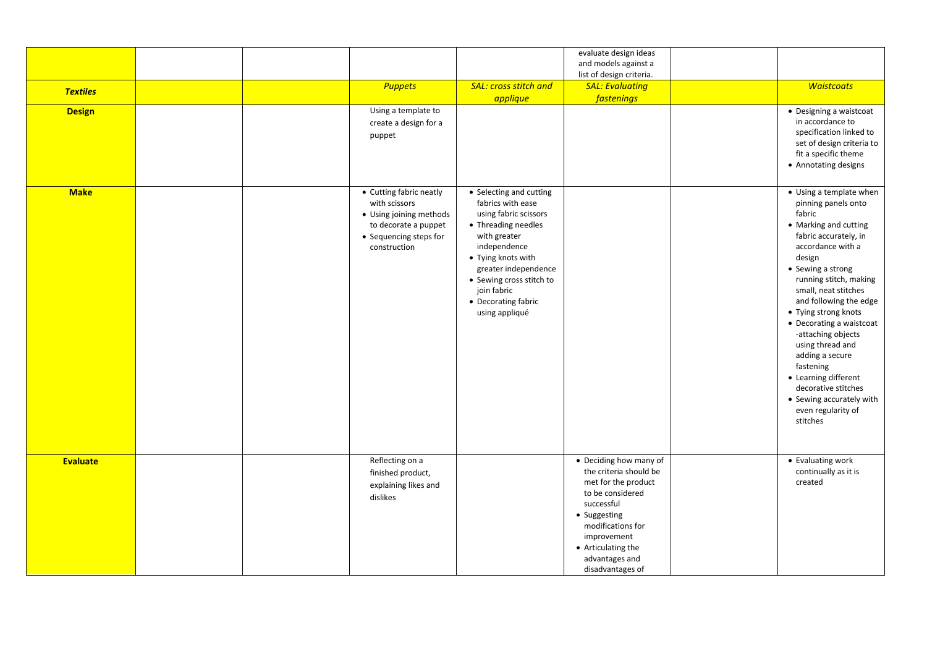|                 |  |                                                                                                                                       |                                                                                                                                                                                                                                                                | evaluate design ideas<br>and models against a<br>list of design criteria.                                                                                                                                                 |                                                                                                                                                                                                                                                                                                                                                                                                                                                                                       |
|-----------------|--|---------------------------------------------------------------------------------------------------------------------------------------|----------------------------------------------------------------------------------------------------------------------------------------------------------------------------------------------------------------------------------------------------------------|---------------------------------------------------------------------------------------------------------------------------------------------------------------------------------------------------------------------------|---------------------------------------------------------------------------------------------------------------------------------------------------------------------------------------------------------------------------------------------------------------------------------------------------------------------------------------------------------------------------------------------------------------------------------------------------------------------------------------|
| <b>Textiles</b> |  | <b>Puppets</b>                                                                                                                        | <b>SAL: cross stitch and</b><br>applique                                                                                                                                                                                                                       | <b>SAL: Evaluating</b><br><b>fastenings</b>                                                                                                                                                                               | <b>Waistcoats</b>                                                                                                                                                                                                                                                                                                                                                                                                                                                                     |
| <b>Design</b>   |  | Using a template to<br>create a design for a<br>puppet                                                                                |                                                                                                                                                                                                                                                                |                                                                                                                                                                                                                           | • Designing a waistcoat<br>in accordance to<br>specification linked to<br>set of design criteria to<br>fit a specific theme<br>• Annotating designs                                                                                                                                                                                                                                                                                                                                   |
| <b>Make</b>     |  | • Cutting fabric neatly<br>with scissors<br>• Using joining methods<br>to decorate a puppet<br>• Sequencing steps for<br>construction | • Selecting and cutting<br>fabrics with ease<br>using fabric scissors<br>• Threading needles<br>with greater<br>independence<br>• Tying knots with<br>greater independence<br>• Sewing cross stitch to<br>join fabric<br>• Decorating fabric<br>using appliqué |                                                                                                                                                                                                                           | • Using a template when<br>pinning panels onto<br>fabric<br>• Marking and cutting<br>fabric accurately, in<br>accordance with a<br>design<br>• Sewing a strong<br>running stitch, making<br>small, neat stitches<br>and following the edge<br>• Tying strong knots<br>• Decorating a waistcoat<br>-attaching objects<br>using thread and<br>adding a secure<br>fastening<br>• Learning different<br>decorative stitches<br>• Sewing accurately with<br>even regularity of<br>stitches |
| <b>Evaluate</b> |  | Reflecting on a<br>finished product,<br>explaining likes and<br>dislikes                                                              |                                                                                                                                                                                                                                                                | • Deciding how many of<br>the criteria should be<br>met for the product<br>to be considered<br>successful<br>• Suggesting<br>modifications for<br>improvement<br>• Articulating the<br>advantages and<br>disadvantages of | • Evaluating work<br>continually as it is<br>created                                                                                                                                                                                                                                                                                                                                                                                                                                  |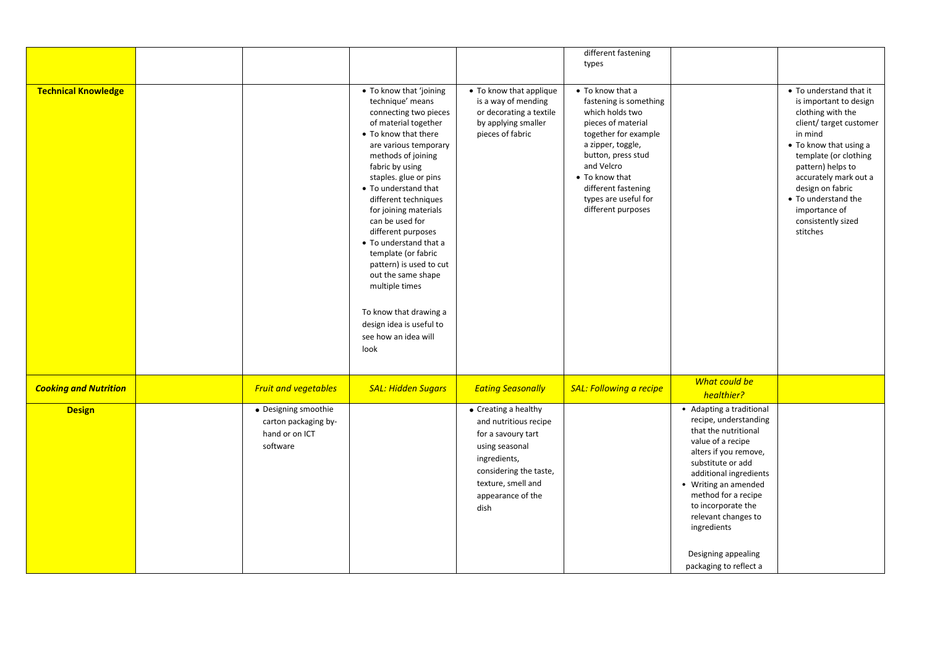| <b>Technical Knowledge</b>   |                                                                            | • To know that 'joining<br>technique' means<br>connecting two pieces<br>of material together<br>• To know that there<br>are various temporary<br>methods of joining<br>fabric by using<br>staples. glue or pins<br>• To understand that<br>different techniques<br>for joining materials<br>can be used for<br>different purposes<br>• To understand that a<br>template (or fabric<br>pattern) is used to cut<br>out the same shape<br>multiple times<br>To know that drawing a<br>design idea is useful to<br>see how an idea will<br>look | • To know that applique<br>is a way of mending<br>or decorating a textile<br>by applying smaller<br>pieces of fabric                                                               | different fastening<br>types<br>• To know that a<br>fastening is something<br>which holds two<br>pieces of material<br>together for example<br>a zipper, toggle,<br>button, press stud<br>and Velcro<br>• To know that<br>different fastening<br>types are useful for<br>different purposes |                                                                                                                                                                                                                                                                                                                                    | • To understand that it<br>is important to design<br>clothing with the<br>client/ target customer<br>in mind<br>• To know that using a<br>template (or clothing<br>pattern) helps to<br>accurately mark out a<br>design on fabric<br>• To understand the<br>importance of<br>consistently sized<br>stitches |
|------------------------------|----------------------------------------------------------------------------|---------------------------------------------------------------------------------------------------------------------------------------------------------------------------------------------------------------------------------------------------------------------------------------------------------------------------------------------------------------------------------------------------------------------------------------------------------------------------------------------------------------------------------------------|------------------------------------------------------------------------------------------------------------------------------------------------------------------------------------|---------------------------------------------------------------------------------------------------------------------------------------------------------------------------------------------------------------------------------------------------------------------------------------------|------------------------------------------------------------------------------------------------------------------------------------------------------------------------------------------------------------------------------------------------------------------------------------------------------------------------------------|-------------------------------------------------------------------------------------------------------------------------------------------------------------------------------------------------------------------------------------------------------------------------------------------------------------|
| <b>Cooking and Nutrition</b> | <b>Fruit and vegetables</b>                                                | <b>SAL: Hidden Sugars</b>                                                                                                                                                                                                                                                                                                                                                                                                                                                                                                                   | <b>Eating Seasonally</b>                                                                                                                                                           | <b>SAL: Following a recipe</b>                                                                                                                                                                                                                                                              | What could be<br>healthier?                                                                                                                                                                                                                                                                                                        |                                                                                                                                                                                                                                                                                                             |
| <b>Design</b>                | • Designing smoothie<br>carton packaging by-<br>hand or on ICT<br>software |                                                                                                                                                                                                                                                                                                                                                                                                                                                                                                                                             | • Creating a healthy<br>and nutritious recipe<br>for a savoury tart<br>using seasonal<br>ingredients,<br>considering the taste,<br>texture, smell and<br>appearance of the<br>dish |                                                                                                                                                                                                                                                                                             | • Adapting a traditional<br>recipe, understanding<br>that the nutritional<br>value of a recipe<br>alters if you remove,<br>substitute or add<br>additional ingredients<br>• Writing an amended<br>method for a recipe<br>to incorporate the<br>relevant changes to<br>ingredients<br>Designing appealing<br>packaging to reflect a |                                                                                                                                                                                                                                                                                                             |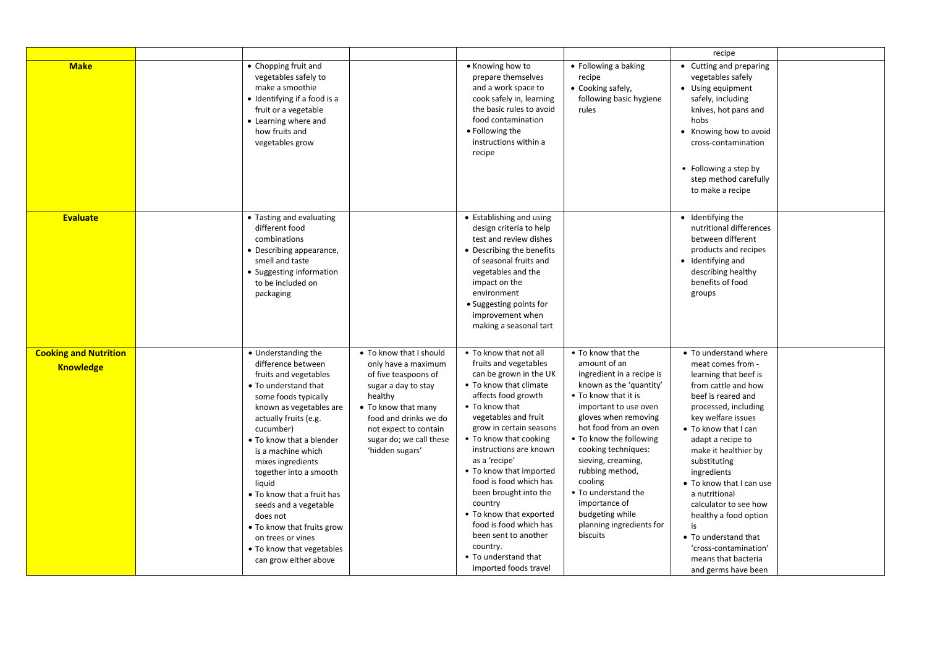|                                                  |                                                                                                                                                                                                                                                                                                                                                                                                                                                                            |                                                                                                                                                                                                                                 |                                                                                                                                                                                                                                                                                                                                                                                                                                                                                                         |                                                                                                                                                                                                                                                                                                                                                                                                       | recipe                                                                                                                                                                                                                                                                                                                                                                                                                                                                 |  |
|--------------------------------------------------|----------------------------------------------------------------------------------------------------------------------------------------------------------------------------------------------------------------------------------------------------------------------------------------------------------------------------------------------------------------------------------------------------------------------------------------------------------------------------|---------------------------------------------------------------------------------------------------------------------------------------------------------------------------------------------------------------------------------|---------------------------------------------------------------------------------------------------------------------------------------------------------------------------------------------------------------------------------------------------------------------------------------------------------------------------------------------------------------------------------------------------------------------------------------------------------------------------------------------------------|-------------------------------------------------------------------------------------------------------------------------------------------------------------------------------------------------------------------------------------------------------------------------------------------------------------------------------------------------------------------------------------------------------|------------------------------------------------------------------------------------------------------------------------------------------------------------------------------------------------------------------------------------------------------------------------------------------------------------------------------------------------------------------------------------------------------------------------------------------------------------------------|--|
| <b>Make</b>                                      | • Chopping fruit and<br>vegetables safely to<br>make a smoothie<br>• Identifying if a food is a<br>fruit or a vegetable<br>• Learning where and<br>how fruits and<br>vegetables grow                                                                                                                                                                                                                                                                                       |                                                                                                                                                                                                                                 | • Knowing how to<br>prepare themselves<br>and a work space to<br>cook safely in, learning<br>the basic rules to avoid<br>food contamination<br>• Following the<br>instructions within a<br>recipe                                                                                                                                                                                                                                                                                                       | • Following a baking<br>recipe<br>• Cooking safely,<br>following basic hygiene<br>rules                                                                                                                                                                                                                                                                                                               | • Cutting and preparing<br>vegetables safely<br>• Using equipment<br>safely, including<br>knives, hot pans and<br>hobs<br>• Knowing how to avoid<br>cross-contamination<br>• Following a step by<br>step method carefully<br>to make a recipe                                                                                                                                                                                                                          |  |
| <b>Evaluate</b>                                  | • Tasting and evaluating<br>different food<br>combinations<br>• Describing appearance,<br>smell and taste<br>• Suggesting information<br>to be included on<br>packaging                                                                                                                                                                                                                                                                                                    |                                                                                                                                                                                                                                 | • Establishing and using<br>design criteria to help<br>test and review dishes<br>• Describing the benefits<br>of seasonal fruits and<br>vegetables and the<br>impact on the<br>environment<br>• Suggesting points for<br>improvement when<br>making a seasonal tart                                                                                                                                                                                                                                     |                                                                                                                                                                                                                                                                                                                                                                                                       | • Identifying the<br>nutritional differences<br>between different<br>products and recipes<br>• Identifying and<br>describing healthy<br>benefits of food<br>groups                                                                                                                                                                                                                                                                                                     |  |
| <b>Cooking and Nutrition</b><br><b>Knowledge</b> | • Understanding the<br>difference between<br>fruits and vegetables<br>• To understand that<br>some foods typically<br>known as vegetables are<br>actually fruits (e.g.<br>cucumber)<br>• To know that a blender<br>is a machine which<br>mixes ingredients<br>together into a smooth<br>liquid<br>• To know that a fruit has<br>seeds and a vegetable<br>does not<br>• To know that fruits grow<br>on trees or vines<br>• To know that vegetables<br>can grow either above | • To know that I should<br>only have a maximum<br>of five teaspoons of<br>sugar a day to stay<br>healthy<br>• To know that many<br>food and drinks we do<br>not expect to contain<br>sugar do; we call these<br>'hidden sugars' | • To know that not all<br>fruits and vegetables<br>can be grown in the UK<br>• To know that climate<br>affects food growth<br>• To know that<br>vegetables and fruit<br>grow in certain seasons<br>• To know that cooking<br>instructions are known<br>as a 'recipe'<br>• To know that imported<br>food is food which has<br>been brought into the<br>country<br>• To know that exported<br>food is food which has<br>been sent to another<br>country.<br>• To understand that<br>imported foods travel | • To know that the<br>amount of an<br>ingredient in a recipe is<br>known as the 'quantity'<br>• To know that it is<br>important to use oven<br>gloves when removing<br>hot food from an oven<br>. To know the following<br>cooking techniques:<br>sieving, creaming,<br>rubbing method,<br>cooling<br>• To understand the<br>importance of<br>budgeting while<br>planning ingredients for<br>biscuits | • To understand where<br>meat comes from -<br>learning that beef is<br>from cattle and how<br>beef is reared and<br>processed, including<br>key welfare issues<br>• To know that I can<br>adapt a recipe to<br>make it healthier by<br>substituting<br>ingredients<br>• To know that I can use<br>a nutritional<br>calculator to see how<br>healthy a food option<br>is<br>• To understand that<br>'cross-contamination'<br>means that bacteria<br>and germs have been |  |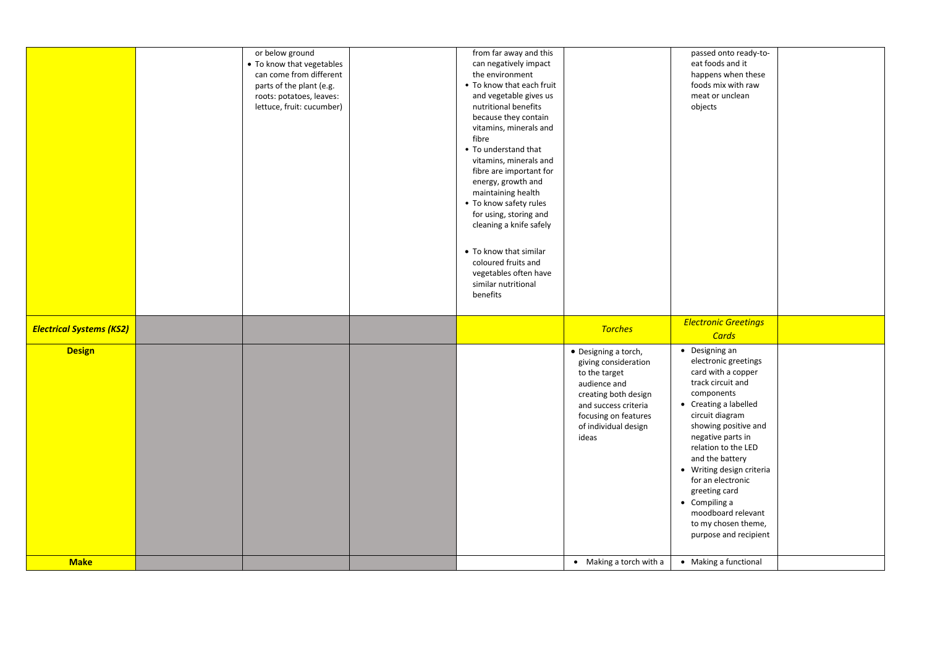|                                 | or below ground<br>• To know that vegetables | from far away and this<br>can negatively impact |                               | passed onto ready-to-<br>eat foods and it |  |
|---------------------------------|----------------------------------------------|-------------------------------------------------|-------------------------------|-------------------------------------------|--|
|                                 | can come from different                      | the environment                                 |                               | happens when these                        |  |
|                                 | parts of the plant (e.g.                     | • To know that each fruit                       |                               | foods mix with raw                        |  |
|                                 | roots: potatoes, leaves:                     | and vegetable gives us                          |                               | meat or unclean                           |  |
|                                 | lettuce, fruit: cucumber)                    | nutritional benefits                            |                               | objects                                   |  |
|                                 |                                              | because they contain                            |                               |                                           |  |
|                                 |                                              | vitamins, minerals and                          |                               |                                           |  |
|                                 |                                              | fibre                                           |                               |                                           |  |
|                                 |                                              | • To understand that                            |                               |                                           |  |
|                                 |                                              | vitamins, minerals and                          |                               |                                           |  |
|                                 |                                              | fibre are important for                         |                               |                                           |  |
|                                 |                                              | energy, growth and                              |                               |                                           |  |
|                                 |                                              | maintaining health                              |                               |                                           |  |
|                                 |                                              | • To know safety rules                          |                               |                                           |  |
|                                 |                                              | for using, storing and                          |                               |                                           |  |
|                                 |                                              | cleaning a knife safely                         |                               |                                           |  |
|                                 |                                              |                                                 |                               |                                           |  |
|                                 |                                              | • To know that similar                          |                               |                                           |  |
|                                 |                                              | coloured fruits and                             |                               |                                           |  |
|                                 |                                              | vegetables often have                           |                               |                                           |  |
|                                 |                                              | similar nutritional                             |                               |                                           |  |
|                                 |                                              | benefits                                        |                               |                                           |  |
|                                 |                                              |                                                 |                               |                                           |  |
|                                 |                                              |                                                 |                               |                                           |  |
| <b>Electrical Systems (KS2)</b> |                                              |                                                 | <b>Torches</b>                | <b>Electronic Greetings</b>               |  |
|                                 |                                              |                                                 |                               | Cards                                     |  |
| <b>Design</b>                   |                                              |                                                 | • Designing a torch,          | • Designing an                            |  |
|                                 |                                              |                                                 | giving consideration          | electronic greetings                      |  |
|                                 |                                              |                                                 | to the target                 | card with a copper                        |  |
|                                 |                                              |                                                 | audience and                  | track circuit and                         |  |
|                                 |                                              |                                                 | creating both design          | components                                |  |
|                                 |                                              |                                                 | and success criteria          | • Creating a labelled                     |  |
|                                 |                                              |                                                 | focusing on features          | circuit diagram                           |  |
|                                 |                                              |                                                 | of individual design<br>ideas | showing positive and<br>negative parts in |  |
|                                 |                                              |                                                 |                               | relation to the LED                       |  |
|                                 |                                              |                                                 |                               | and the battery                           |  |
|                                 |                                              |                                                 |                               | • Writing design criteria                 |  |
|                                 |                                              |                                                 |                               | for an electronic                         |  |
|                                 |                                              |                                                 |                               | greeting card                             |  |
|                                 |                                              |                                                 |                               | • Compiling a                             |  |
|                                 |                                              |                                                 |                               | moodboard relevant                        |  |
|                                 |                                              |                                                 |                               | to my chosen theme,                       |  |
|                                 |                                              |                                                 |                               | purpose and recipient                     |  |
| <b>Make</b>                     |                                              |                                                 | • Making a torch with a       | • Making a functional                     |  |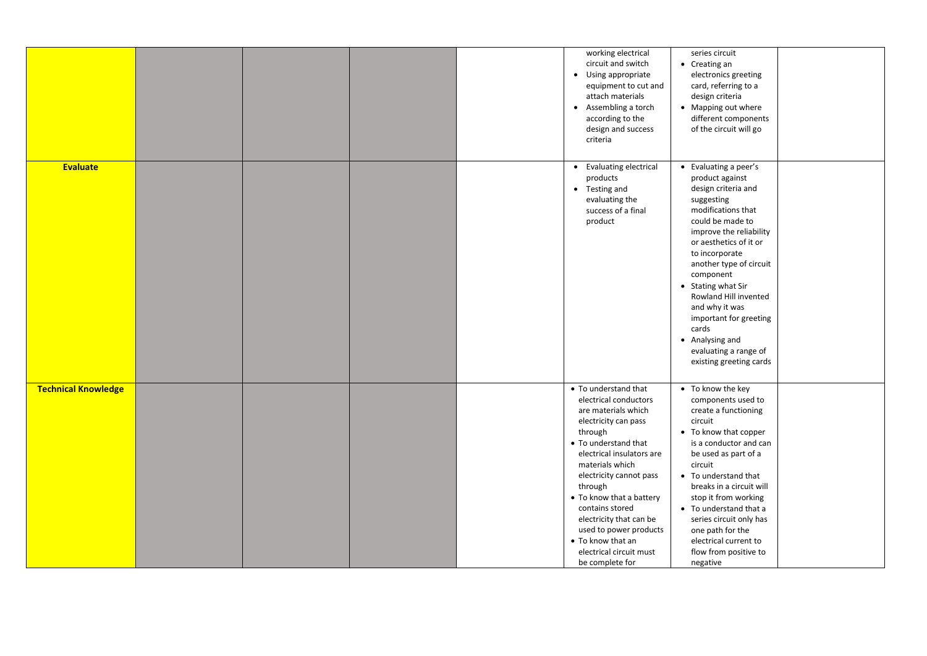|                            |  |  | working electrical<br>circuit and switch | series circuit<br>• Creating an |  |
|----------------------------|--|--|------------------------------------------|---------------------------------|--|
|                            |  |  |                                          |                                 |  |
|                            |  |  | • Using appropriate                      | electronics greeting            |  |
|                            |  |  | equipment to cut and                     | card, referring to a            |  |
|                            |  |  | attach materials                         | design criteria                 |  |
|                            |  |  | Assembling a torch<br>$\bullet$          | • Mapping out where             |  |
|                            |  |  | according to the                         | different components            |  |
|                            |  |  | design and success                       | of the circuit will go          |  |
|                            |  |  | criteria                                 |                                 |  |
|                            |  |  |                                          |                                 |  |
| Evaluate                   |  |  | • Evaluating electrical                  | • Evaluating a peer's           |  |
|                            |  |  | products                                 | product against                 |  |
|                            |  |  | • Testing and                            | design criteria and             |  |
|                            |  |  | evaluating the                           | suggesting                      |  |
|                            |  |  | success of a final                       | modifications that              |  |
|                            |  |  | product                                  | could be made to                |  |
|                            |  |  |                                          |                                 |  |
|                            |  |  |                                          | improve the reliability         |  |
|                            |  |  |                                          | or aesthetics of it or          |  |
|                            |  |  |                                          | to incorporate                  |  |
|                            |  |  |                                          | another type of circuit         |  |
|                            |  |  |                                          | component                       |  |
|                            |  |  |                                          | • Stating what Sir              |  |
|                            |  |  |                                          | Rowland Hill invented           |  |
|                            |  |  |                                          | and why it was                  |  |
|                            |  |  |                                          | important for greeting          |  |
|                            |  |  |                                          | cards                           |  |
|                            |  |  |                                          | • Analysing and                 |  |
|                            |  |  |                                          |                                 |  |
|                            |  |  |                                          | evaluating a range of           |  |
|                            |  |  |                                          | existing greeting cards         |  |
|                            |  |  |                                          |                                 |  |
| <b>Technical Knowledge</b> |  |  | • To understand that                     | • To know the key               |  |
|                            |  |  | electrical conductors                    | components used to              |  |
|                            |  |  | are materials which                      | create a functioning            |  |
|                            |  |  | electricity can pass                     | circuit                         |  |
|                            |  |  | through                                  | • To know that copper           |  |
|                            |  |  | • To understand that                     | is a conductor and can          |  |
|                            |  |  | electrical insulators are                | be used as part of a            |  |
|                            |  |  | materials which                          | circuit                         |  |
|                            |  |  | electricity cannot pass                  | • To understand that            |  |
|                            |  |  | through                                  | breaks in a circuit will        |  |
|                            |  |  | • To know that a battery                 | stop it from working            |  |
|                            |  |  | contains stored                          |                                 |  |
|                            |  |  |                                          | • To understand that a          |  |
|                            |  |  | electricity that can be                  | series circuit only has         |  |
|                            |  |  | used to power products                   | one path for the                |  |
|                            |  |  | • To know that an                        | electrical current to           |  |
|                            |  |  | electrical circuit must                  | flow from positive to           |  |
|                            |  |  | be complete for                          | negative                        |  |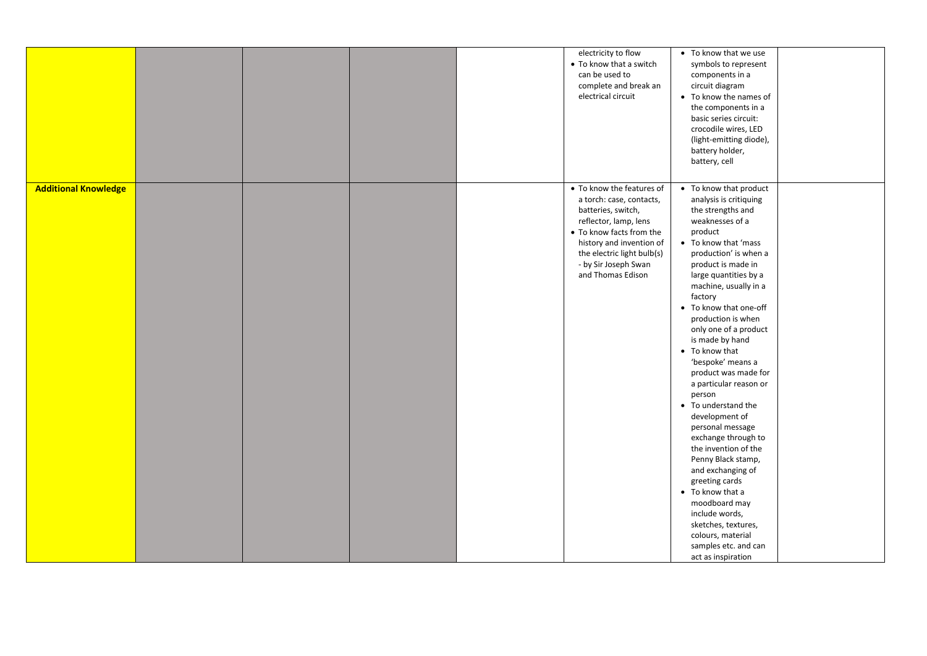|                             |  |  | electricity to flow<br>• To know that a switch<br>can be used to<br>complete and break an<br>electrical circuit                                                                                                                         | • To know that we use<br>symbols to represent<br>components in a<br>circuit diagram<br>• To know the names of<br>the components in a<br>basic series circuit:<br>crocodile wires, LED<br>(light-emitting diode),<br>battery holder,<br>battery, cell                                                                                                                                                                                                                                                                                                                                                                                                                                                                                                             |
|-----------------------------|--|--|-----------------------------------------------------------------------------------------------------------------------------------------------------------------------------------------------------------------------------------------|------------------------------------------------------------------------------------------------------------------------------------------------------------------------------------------------------------------------------------------------------------------------------------------------------------------------------------------------------------------------------------------------------------------------------------------------------------------------------------------------------------------------------------------------------------------------------------------------------------------------------------------------------------------------------------------------------------------------------------------------------------------|
| <b>Additional Knowledge</b> |  |  | • To know the features of<br>a torch: case, contacts,<br>batteries, switch,<br>reflector, lamp, lens<br>• To know facts from the<br>history and invention of<br>the electric light bulb(s)<br>- by Sir Joseph Swan<br>and Thomas Edison | • To know that product<br>analysis is critiquing<br>the strengths and<br>weaknesses of a<br>product<br>• To know that 'mass<br>production' is when a<br>product is made in<br>large quantities by a<br>machine, usually in a<br>factory<br>• To know that one-off<br>production is when<br>only one of a product<br>is made by hand<br>• To know that<br>'bespoke' means a<br>product was made for<br>a particular reason or<br>person<br>• To understand the<br>development of<br>personal message<br>exchange through to<br>the invention of the<br>Penny Black stamp,<br>and exchanging of<br>greeting cards<br>• To know that a<br>moodboard may<br>include words,<br>sketches, textures,<br>colours, material<br>samples etc. and can<br>act as inspiration |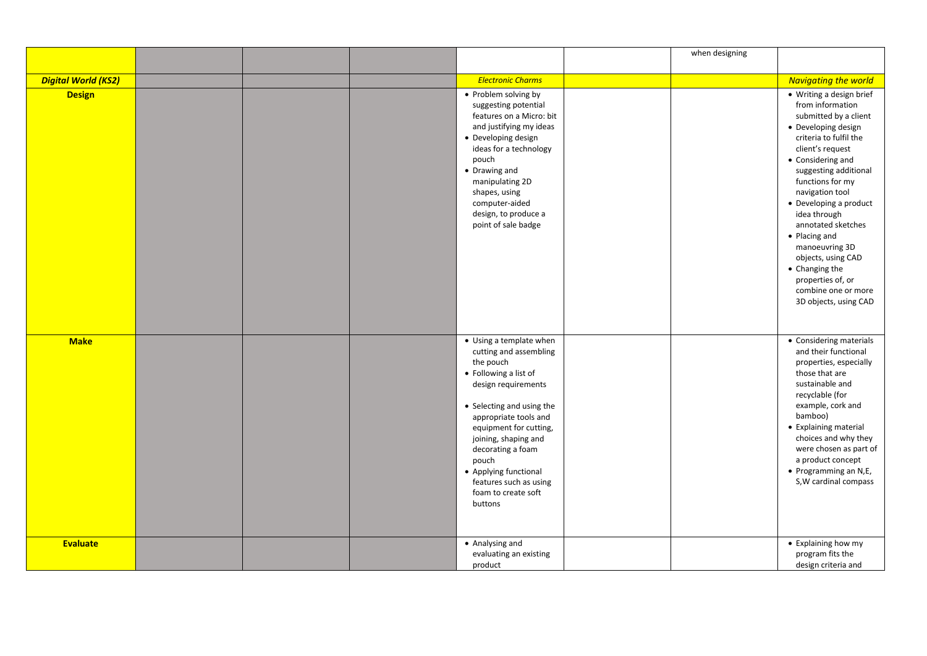|                            |  |                                                                                                                                                                                                                                                                                                                                           | when designing |                                                                                                                                                                                                                                                                                                                                                                                                                                                 |
|----------------------------|--|-------------------------------------------------------------------------------------------------------------------------------------------------------------------------------------------------------------------------------------------------------------------------------------------------------------------------------------------|----------------|-------------------------------------------------------------------------------------------------------------------------------------------------------------------------------------------------------------------------------------------------------------------------------------------------------------------------------------------------------------------------------------------------------------------------------------------------|
|                            |  |                                                                                                                                                                                                                                                                                                                                           |                |                                                                                                                                                                                                                                                                                                                                                                                                                                                 |
| <b>Digital World (KS2)</b> |  | <b>Electronic Charms</b>                                                                                                                                                                                                                                                                                                                  |                | <b>Navigating the world</b>                                                                                                                                                                                                                                                                                                                                                                                                                     |
| <b>Design</b>              |  | • Problem solving by<br>suggesting potential<br>features on a Micro: bit<br>and justifying my ideas<br>• Developing design<br>ideas for a technology<br>pouch<br>• Drawing and<br>manipulating 2D<br>shapes, using<br>computer-aided<br>design, to produce a<br>point of sale badge                                                       |                | • Writing a design brief<br>from information<br>submitted by a client<br>• Developing design<br>criteria to fulfil the<br>client's request<br>• Considering and<br>suggesting additional<br>functions for my<br>navigation tool<br>• Developing a product<br>idea through<br>annotated sketches<br>• Placing and<br>manoeuvring 3D<br>objects, using CAD<br>• Changing the<br>properties of, or<br>combine one or more<br>3D objects, using CAD |
| <b>Make</b>                |  | • Using a template when<br>cutting and assembling<br>the pouch<br>• Following a list of<br>design requirements<br>• Selecting and using the<br>appropriate tools and<br>equipment for cutting,<br>joining, shaping and<br>decorating a foam<br>pouch<br>• Applying functional<br>features such as using<br>foam to create soft<br>buttons |                | • Considering materials<br>and their functional<br>properties, especially<br>those that are<br>sustainable and<br>recyclable (for<br>example, cork and<br>bamboo)<br>• Explaining material<br>choices and why they<br>were chosen as part of<br>a product concept<br>• Programming an N,E,<br>S, W cardinal compass                                                                                                                             |
| Evaluate                   |  | • Analysing and<br>evaluating an existing<br>product                                                                                                                                                                                                                                                                                      |                | • Explaining how my<br>program fits the<br>design criteria and                                                                                                                                                                                                                                                                                                                                                                                  |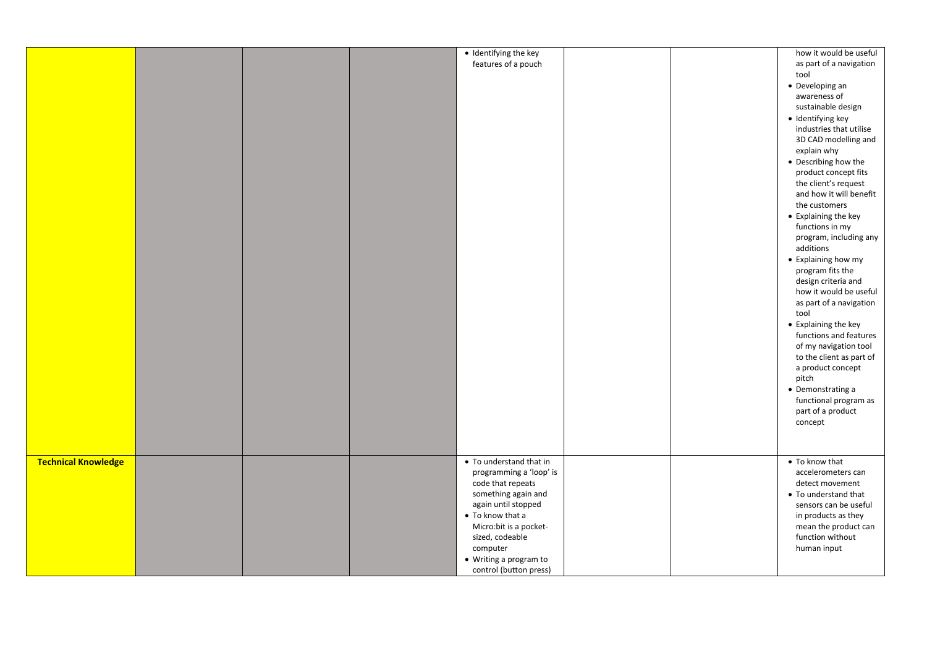|                            |  | · Identifying the key   |  | how it would be useful   |
|----------------------------|--|-------------------------|--|--------------------------|
|                            |  |                         |  |                          |
|                            |  | features of a pouch     |  | as part of a navigation  |
|                            |  |                         |  | tool                     |
|                            |  |                         |  | • Developing an          |
|                            |  |                         |  | awareness of             |
|                            |  |                         |  | sustainable design       |
|                            |  |                         |  | · Identifying key        |
|                            |  |                         |  | industries that utilise  |
|                            |  |                         |  | 3D CAD modelling and     |
|                            |  |                         |  |                          |
|                            |  |                         |  | explain why              |
|                            |  |                         |  | • Describing how the     |
|                            |  |                         |  | product concept fits     |
|                            |  |                         |  | the client's request     |
|                            |  |                         |  | and how it will benefit  |
|                            |  |                         |  | the customers            |
|                            |  |                         |  | • Explaining the key     |
|                            |  |                         |  | functions in my          |
|                            |  |                         |  | program, including any   |
|                            |  |                         |  | additions                |
|                            |  |                         |  |                          |
|                            |  |                         |  | • Explaining how my      |
|                            |  |                         |  | program fits the         |
|                            |  |                         |  | design criteria and      |
|                            |  |                         |  | how it would be useful   |
|                            |  |                         |  | as part of a navigation  |
|                            |  |                         |  | tool                     |
|                            |  |                         |  | • Explaining the key     |
|                            |  |                         |  | functions and features   |
|                            |  |                         |  | of my navigation tool    |
|                            |  |                         |  | to the client as part of |
|                            |  |                         |  |                          |
|                            |  |                         |  | a product concept        |
|                            |  |                         |  | pitch                    |
|                            |  |                         |  | • Demonstrating a        |
|                            |  |                         |  | functional program as    |
|                            |  |                         |  | part of a product        |
|                            |  |                         |  | concept                  |
|                            |  |                         |  |                          |
|                            |  |                         |  |                          |
|                            |  |                         |  |                          |
| <b>Technical Knowledge</b> |  | • To understand that in |  | • To know that           |
|                            |  | programming a 'loop' is |  | accelerometers can       |
|                            |  | code that repeats       |  | detect movement          |
|                            |  | something again and     |  | • To understand that     |
|                            |  | again until stopped     |  | sensors can be useful    |
|                            |  | • To know that a        |  | in products as they      |
|                            |  | Micro: bit is a pocket- |  | mean the product can     |
|                            |  | sized, codeable         |  | function without         |
|                            |  |                         |  |                          |
|                            |  | computer                |  | human input              |
|                            |  | • Writing a program to  |  |                          |
|                            |  | control (button press)  |  |                          |